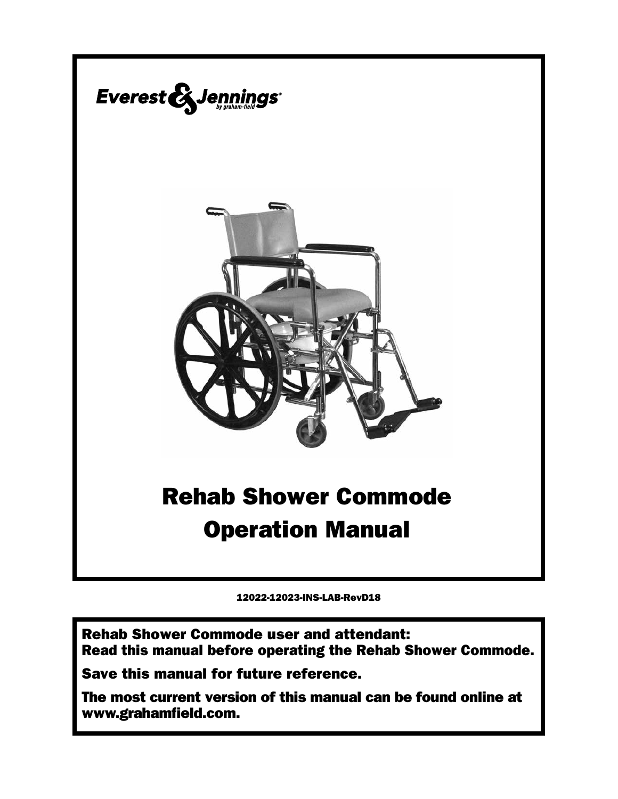

12022-12023-INS-LAB-RevD18

Rehab Shower Commode user and attendant: Read this manual before operating the Rehab Shower Commode.

Save this manual for future reference.

The most current version of this manual can be found online at www.grahamfield.com.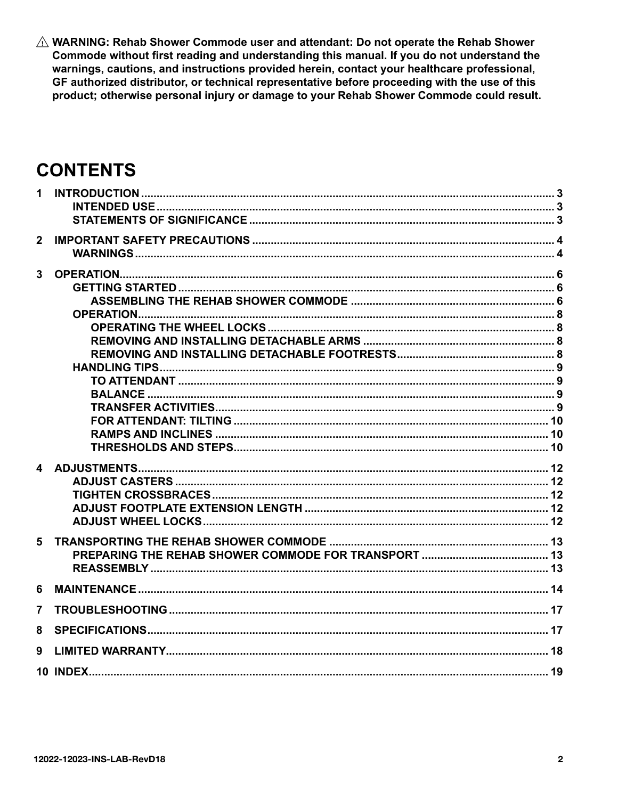$\triangle$  WARNING: Rehab Shower Commode user and attendant: Do not operate the Rehab Shower Commode without first reading and understanding this manual. If you do not understand the warnings, cautions, and instructions provided herein, contact your healthcare professional, GF authorized distributor, or technical representative before proceeding with the use of this product; otherwise personal injury or damage to your Rehab Shower Commode could result.

## **CONTENTS**

| 1                       |  |
|-------------------------|--|
|                         |  |
| $\overline{2}$          |  |
| $\overline{3}$          |  |
|                         |  |
|                         |  |
|                         |  |
|                         |  |
|                         |  |
|                         |  |
|                         |  |
|                         |  |
|                         |  |
|                         |  |
|                         |  |
| $\overline{\mathbf{4}}$ |  |
|                         |  |
|                         |  |
|                         |  |
|                         |  |
| 5                       |  |
|                         |  |
|                         |  |
| 6                       |  |
| $\overline{7}$          |  |
| 8                       |  |
| 9                       |  |
|                         |  |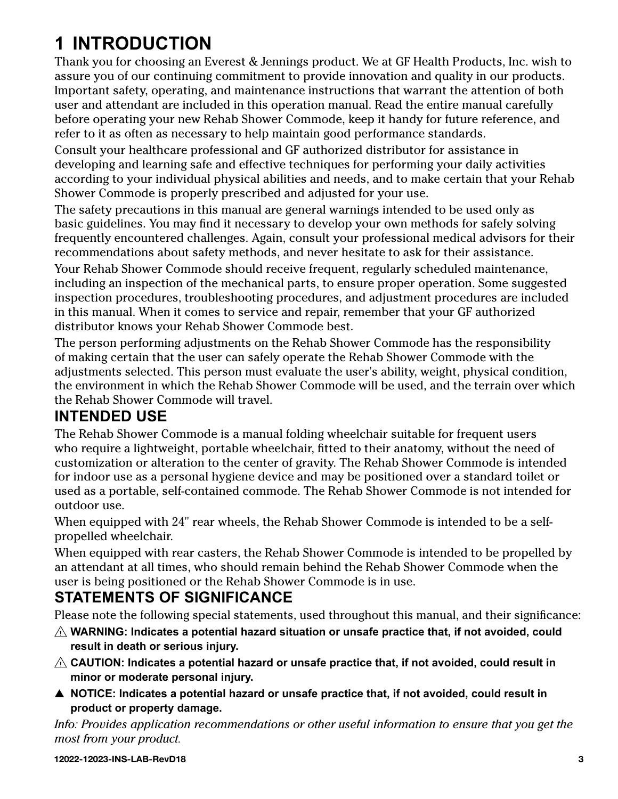# <span id="page-2-0"></span>**1 INTRODUCTION**

Thank you for choosing an Everest & Jennings product. We at GF Health Products, Inc. wish to assure you of our continuing commitment to provide innovation and quality in our products. Important safety, operating, and maintenance instructions that warrant the attention of both user and attendant are included in this operation manual. Read the entire manual carefully before operating your new Rehab Shower Commode, keep it handy for future reference, and refer to it as often as necessary to help maintain good performance standards.

Consult your healthcare professional and GF authorized distributor for assistance in developing and learning safe and effective techniques for performing your daily activities according to your individual physical abilities and needs, and to make certain that your Rehab Shower Commode is properly prescribed and adjusted for your use.

The safety precautions in this manual are general warnings intended to be used only as basic guidelines. You may find it necessary to develop your own methods for safely solving frequently encountered challenges. Again, consult your professional medical advisors for their recommendations about safety methods, and never hesitate to ask for their assistance.

Your Rehab Shower Commode should receive frequent, regularly scheduled maintenance, including an inspection of the mechanical parts, to ensure proper operation. Some suggested inspection procedures, troubleshooting procedures, and adjustment procedures are included in this manual. When it comes to service and repair, remember that your GF authorized distributor knows your Rehab Shower Commode best.

The person performing adjustments on the Rehab Shower Commode has the responsibility of making certain that the user can safely operate the Rehab Shower Commode with the adjustments selected. This person must evaluate the user's ability, weight, physical condition, the environment in which the Rehab Shower Commode will be used, and the terrain over which the Rehab Shower Commode will travel.

## **INTENDED USE**

The Rehab Shower Commode is a manual folding wheelchair suitable for frequent users who require a lightweight, portable wheelchair, fitted to their anatomy, without the need of customization or alteration to the center of gravity. The Rehab Shower Commode is intended for indoor use as a personal hygiene device and may be positioned over a standard toilet or used as a portable, self-contained commode. The Rehab Shower Commode is not intended for outdoor use.

When equipped with 24" rear wheels, the Rehab Shower Commode is intended to be a selfpropelled wheelchair.

When equipped with rear casters, the Rehab Shower Commode is intended to be propelled by an attendant at all times, who should remain behind the Rehab Shower Commode when the user is being positioned or the Rehab Shower Commode is in use.

## **STATEMENTS OF SIGNIFICANCE**

Please note the following special statements, used throughout this manual, and their significance:

- $\triangle$  WARNING: Indicates a potential hazard situation or unsafe practice that, if not avoided, could **result in death or serious injury.**
- $\triangle$  CAUTION: Indicates a potential hazard or unsafe practice that, if not avoided, could result in **minor or moderate personal injury.**
- ▲ NOTICE: Indicates a potential hazard or unsafe practice that, if not avoided, could result in **product or property damage.**

*Info: Provides application recommendations or other useful information to ensure that you get the most from your product.*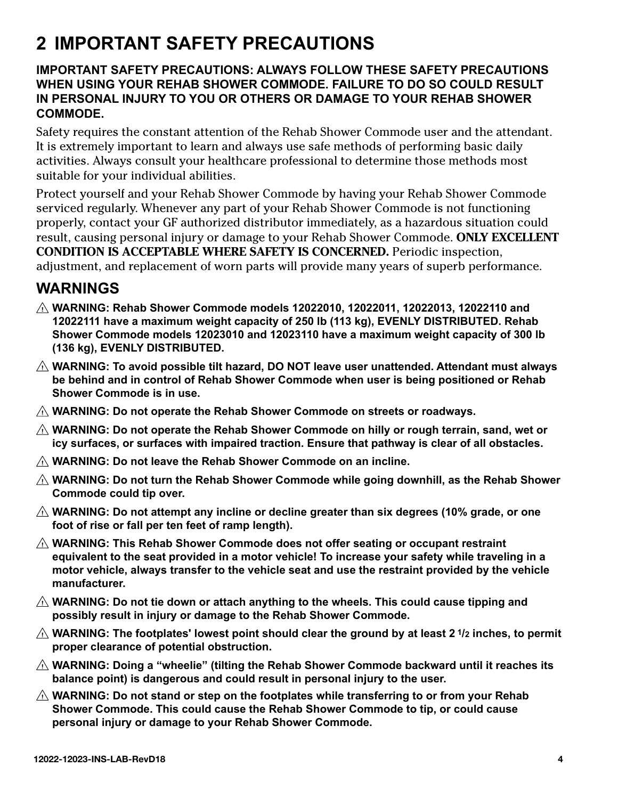## <span id="page-3-0"></span>**2 IMPORTANT SAFETY PRECAUTIONS**

## **IMPORTANT SAFETY PRECAUTIONS: ALWAYS FOLLOW THESE SAFETY PRECAUTIONS WHEN USING YOUR REHAB SHOWER COMMODE. FAILURE TO DO SO COULD RESULT IN PERSONAL INJURY TO YOU OR OTHERS OR DAMAGE TO YOUR REHAB SHOWER COMMODE.**

Safety requires the constant attention of the Rehab Shower Commode user and the attendant. It is extremely important to learn and always use safe methods of performing basic daily activities. Always consult your healthcare professional to determine those methods most suitable for your individual abilities.

Protect yourself and your Rehab Shower Commode by having your Rehab Shower Commode serviced regularly. Whenever any part of your Rehab Shower Commode is not functioning properly, contact your GF authorized distributor immediately, as a hazardous situation could result, causing personal injury or damage to your Rehab Shower Commode. **ONLY EXCELLENT CONDITION IS ACCEPTABLE WHERE SAFETY IS CONCERNED.** Periodic inspection, adjustment, and replacement of worn parts will provide many years of superb performance.

## **WARNINGS**

- **WARNING: Rehab Shower Commode models 12022010, 12022011, 12022013, 12022110 and 12022111 have a maximum weight capacity of 250 lb (113 kg), EVENLY DISTRIBUTED. Rehab Shower Commode models 12023010 and 12023110 have a maximum weight capacity of 300 lb (136 kg), EVENLY DISTRIBUTED.**
- **WARNING: To avoid possible tilt hazard, DO NOT leave user unattended. Attendant must always be behind and in control of Rehab Shower Commode when user is being positioned or Rehab Shower Commode is in use.**
- **WARNING: Do not operate the Rehab Shower Commode on streets or roadways.**
- **WARNING: Do not operate the Rehab Shower Commode on hilly or rough terrain, sand, wet or icy surfaces, or surfaces with impaired traction. Ensure that pathway is clear of all obstacles.**
- **WARNING: Do not leave the Rehab Shower Commode on an incline.**
- **WARNING: Do not turn the Rehab Shower Commode while going downhill, as the Rehab Shower Commode could tip over.**
- **WARNING: Do not attempt any incline or decline greater than six degrees (10% grade, or one foot of rise or fall per ten feet of ramp length).**
- **WARNING: This Rehab Shower Commode does not offer seating or occupant restraint equivalent to the seat provided in a motor vehicle! To increase your safety while traveling in a motor vehicle, always transfer to the vehicle seat and use the restraint provided by the vehicle manufacturer.**
- **WARNING: Do not tie down or attach anything to the wheels. This could cause tipping and possibly result in injury or damage to the Rehab Shower Commode.**
- **WARNING: The footplates' lowest point should clear the ground by at least 2 1/2 inches, to permit proper clearance of potential obstruction.**
- **WARNING: Doing a "wheelie" (tilting the Rehab Shower Commode backward until it reaches its balance point) is dangerous and could result in personal injury to the user.**
- **WARNING: Do not stand or step on the footplates while transferring to or from your Rehab Shower Commode. This could cause the Rehab Shower Commode to tip, or could cause personal injury or damage to your Rehab Shower Commode.**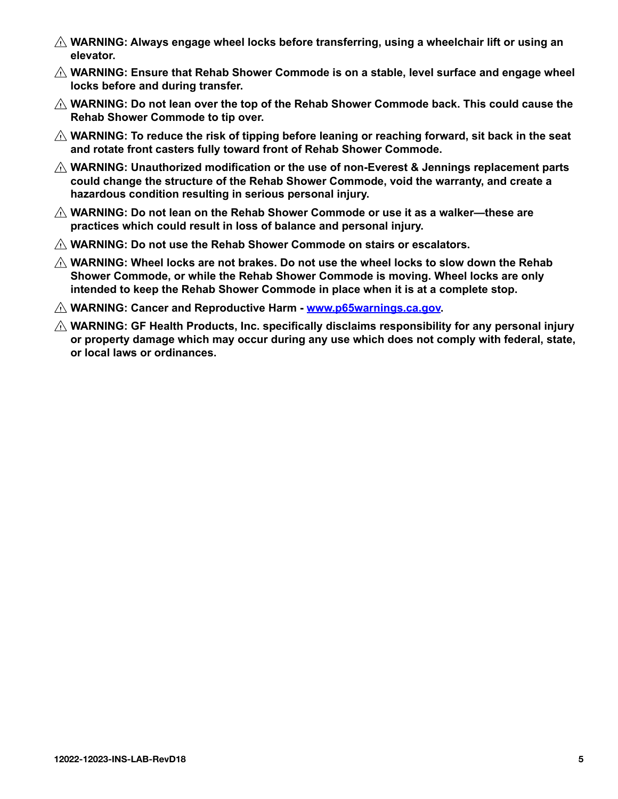- **WARNING: Always engage wheel locks before transferring, using a wheelchair lift or using an elevator.**
- **WARNING: Ensure that Rehab Shower Commode is on a stable, level surface and engage wheel locks before and during transfer.**
- **WARNING: Do not lean over the top of the Rehab Shower Commode back. This could cause the Rehab Shower Commode to tip over.**
- **WARNING: To reduce the risk of tipping before leaning or reaching forward, sit back in the seat and rotate front casters fully toward front of Rehab Shower Commode.**
- **WARNING: Unauthorized modification or the use of non-Everest & Jennings replacement parts could change the structure of the Rehab Shower Commode, void the warranty, and create a hazardous condition resulting in serious personal injury.**
- **WARNING: Do not lean on the Rehab Shower Commode or use it as a walker—these are practices which could result in loss of balance and personal injury.**
- **WARNING: Do not use the Rehab Shower Commode on stairs or escalators.**
- **WARNING: Wheel locks are not brakes. Do not use the wheel locks to slow down the Rehab Shower Commode, or while the Rehab Shower Commode is moving. Wheel locks are only intended to keep the Rehab Shower Commode in place when it is at a complete stop.**
- **WARNING: Cancer and Reproductive Harm www.p65warnings.ca.gov.**
- **WARNING: GF Health Products, Inc. specifically disclaims responsibility for any personal injury or property damage which may occur during any use which does not comply with federal, state, or local laws or ordinances.**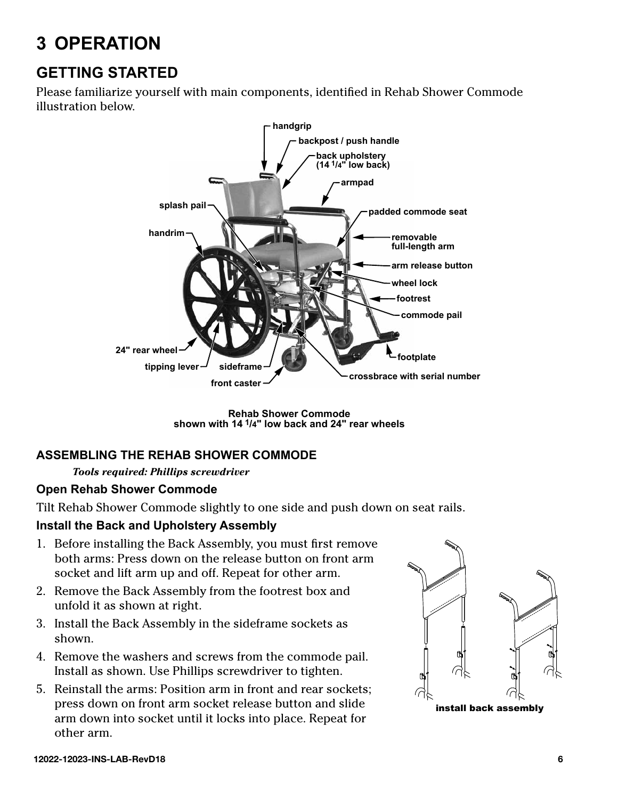# <span id="page-5-0"></span>**3 OPERATION**

## **GETTING STARTED**

Please familiarize yourself with main components, identified in Rehab Shower Commode illustration below.



**Rehab Shower Commode shown with 14 1/4" low back and 24" rear wheels**

## **ASSEMBLING THE REHAB SHOWER COMMODE**

#### *Tools required: Phillips screwdriver*

### **Open Rehab Shower Commode**

Tilt Rehab Shower Commode slightly to one side and push down on seat rails.

### **Install the Back and Upholstery Assembly**

- 1. Before installing the Back Assembly, you must first remove both arms: Press down on the release button on front arm socket and lift arm up and off. Repeat for other arm.
- 2. Remove the Back Assembly from the footrest box and unfold it as shown at right.
- 3. Install the Back Assembly in the sideframe sockets as shown.
- 4. Remove the washers and screws from the commode pail. Install as shown. Use Phillips screwdriver to tighten.
- 5. Reinstall the arms: Position arm in front and rear sockets; press down on front arm socket release button and slide arm down into socket until it locks into place. Repeat for other arm.



**12022-12023-INS-LAB-RevD18 6**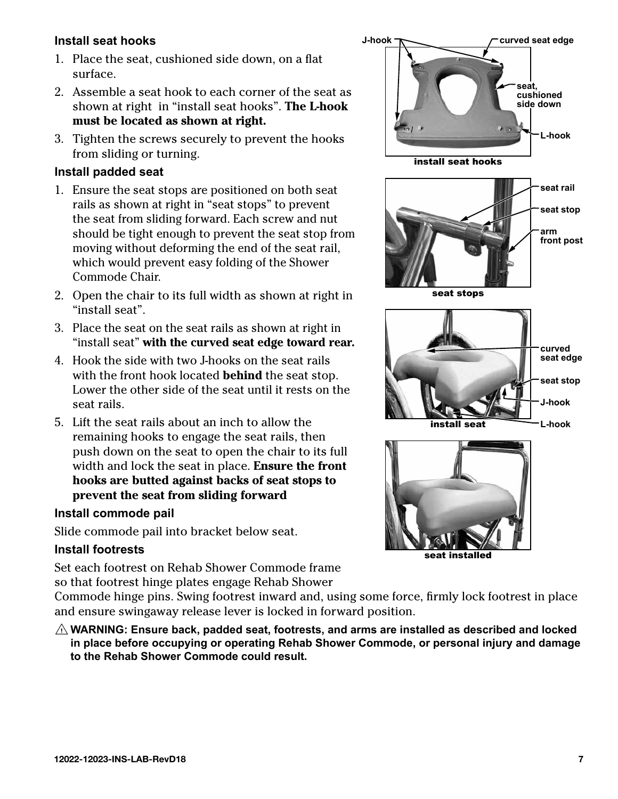## <span id="page-6-0"></span>**Install seat hooks**

- 1. Place the seat, cushioned side down, on a flat surface.
- 2. Assemble a seat hook to each corner of the seat as shown at right in "install seat hooks". **The L-hook must be located as shown at right.**
- 3. Tighten the screws securely to prevent the hooks from sliding or turning.

## **Install padded seat**

- 1. Ensure the seat stops are positioned on both seat rails as shown at right in "seat stops" to prevent the seat from sliding forward. Each screw and nut should be tight enough to prevent the seat stop from moving without deforming the end of the seat rail, which would prevent easy folding of the Shower Commode Chair.
- 2. Open the chair to its full width as shown at right in "install seat".
- 3. Place the seat on the seat rails as shown at right in "install seat" **with the curved seat edge toward rear.**
- 4. Hook the side with two J-hooks on the seat rails with the front hook located **behind** the seat stop. Lower the other side of the seat until it rests on the seat rails.
- 5. Lift the seat rails about an inch to allow the remaining hooks to engage the seat rails, then push down on the seat to open the chair to its full width and lock the seat in place. **Ensure the front hooks are butted against backs of seat stops to prevent the seat from sliding forward**

## **Install commode pail**

Slide commode pail into bracket below seat.

### **Install footrests**

Set each footrest on Rehab Shower Commode frame so that footrest hinge plates engage Rehab Shower

Commode hinge pins. Swing footrest inward and, using some force, firmly lock footrest in place and ensure swingaway release lever is locked in forward position.

 $\triangle$  WARNING: Ensure back, padded seat, footrests, and arms are installed as described and locked **in place before occupying or operating Rehab Shower Commode, or personal injury and damage to the Rehab Shower Commode could result.**



seat installed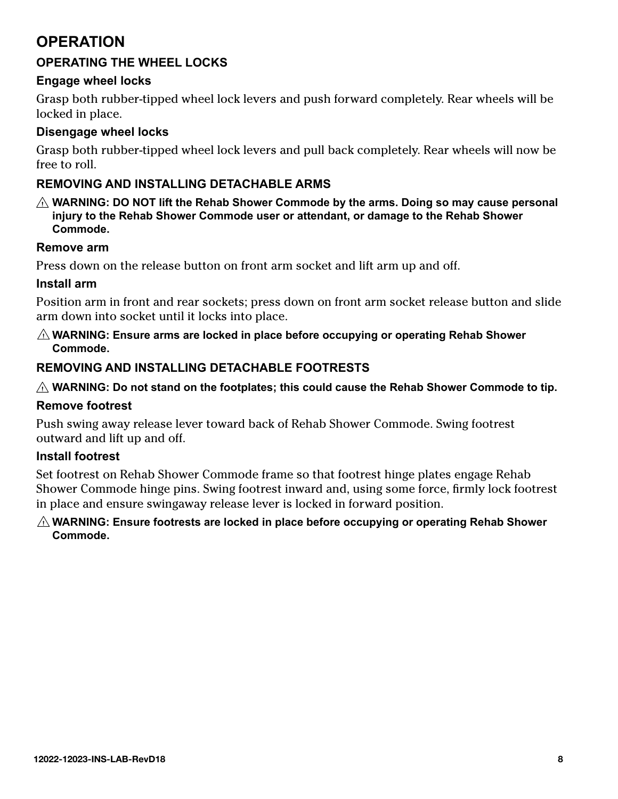## <span id="page-7-0"></span>**OPERATION**

## **OPERATING THE WHEEL LOCKS**

## **Engage wheel locks**

Grasp both rubber-tipped wheel lock levers and push forward completely. Rear wheels will be locked in place.

## **Disengage wheel locks**

Grasp both rubber-tipped wheel lock levers and pull back completely. Rear wheels will now be free to roll.

## **REMOVING AND INSTALLING DETACHABLE ARMS**

**WARNING: DO NOT lift the Rehab Shower Commode by the arms. Doing so may cause personal injury to the Rehab Shower Commode user or attendant, or damage to the Rehab Shower Commode.**

## **Remove arm**

Press down on the release button on front arm socket and lift arm up and off.

## **Install arm**

Position arm in front and rear sockets; press down on front arm socket release button and slide arm down into socket until it locks into place.

### **WARNING: Ensure arms are locked in place before occupying or operating Rehab Shower Commode.**

## **REMOVING AND INSTALLING DETACHABLE FOOTRESTS**

## **WARNING: Do not stand on the footplates; this could cause the Rehab Shower Commode to tip.**

## **Remove footrest**

Push swing away release lever toward back of Rehab Shower Commode. Swing footrest outward and lift up and off.

## **Install footrest**

Set footrest on Rehab Shower Commode frame so that footrest hinge plates engage Rehab Shower Commode hinge pins. Swing footrest inward and, using some force, firmly lock footrest in place and ensure swingaway release lever is locked in forward position.

### **WARNING: Ensure footrests are locked in place before occupying or operating Rehab Shower Commode.**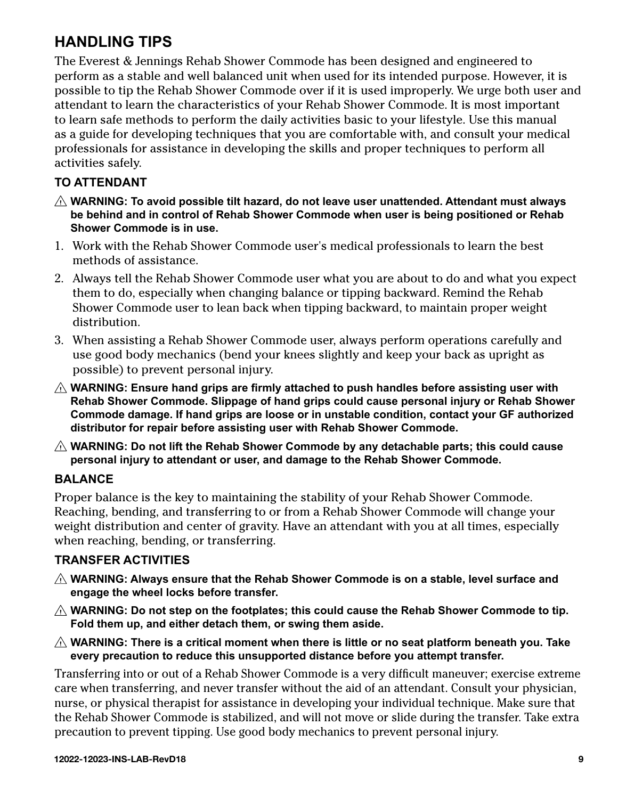## <span id="page-8-0"></span>**HANDLING TIPS**

The Everest & Jennings Rehab Shower Commode has been designed and engineered to perform as a stable and well balanced unit when used for its intended purpose. However, it is possible to tip the Rehab Shower Commode over if it is used improperly. We urge both user and attendant to learn the characteristics of your Rehab Shower Commode. It is most important to learn safe methods to perform the daily activities basic to your lifestyle. Use this manual as a guide for developing techniques that you are comfortable with, and consult your medical professionals for assistance in developing the skills and proper techniques to perform all activities safely.

## **TO ATTENDANT**

- **WARNING: To avoid possible tilt hazard, do not leave user unattended. Attendant must always be behind and in control of Rehab Shower Commode when user is being positioned or Rehab Shower Commode is in use.**
- 1. Work with the Rehab Shower Commode user's medical professionals to learn the best methods of assistance.
- 2. Always tell the Rehab Shower Commode user what you are about to do and what you expect them to do, especially when changing balance or tipping backward. Remind the Rehab Shower Commode user to lean back when tipping backward, to maintain proper weight distribution.
- 3. When assisting a Rehab Shower Commode user, always perform operations carefully and use good body mechanics (bend your knees slightly and keep your back as upright as possible) to prevent personal injury.
- **WARNING: Ensure hand grips are firmly attached to push handles before assisting user with Rehab Shower Commode. Slippage of hand grips could cause personal injury or Rehab Shower Commode damage. If hand grips are loose or in unstable condition, contact your GF authorized distributor for repair before assisting user with Rehab Shower Commode.**
- **WARNING: Do not lift the Rehab Shower Commode by any detachable parts; this could cause personal injury to attendant or user, and damage to the Rehab Shower Commode.**

## **BALANCE**

Proper balance is the key to maintaining the stability of your Rehab Shower Commode. Reaching, bending, and transferring to or from a Rehab Shower Commode will change your weight distribution and center of gravity. Have an attendant with you at all times, especially when reaching, bending, or transferring.

## **TRANSFER ACTIVITIES**

- **WARNING: Always ensure that the Rehab Shower Commode is on a stable, level surface and engage the wheel locks before transfer.**
- **WARNING: Do not step on the footplates; this could cause the Rehab Shower Commode to tip. Fold them up, and either detach them, or swing them aside.**
- **WARNING: There is a critical moment when there is little or no seat platform beneath you. Take every precaution to reduce this unsupported distance before you attempt transfer.**

Transferring into or out of a Rehab Shower Commode is a very difficult maneuver; exercise extreme care when transferring, and never transfer without the aid of an attendant. Consult your physician, nurse, or physical therapist for assistance in developing your individual technique. Make sure that the Rehab Shower Commode is stabilized, and will not move or slide during the transfer. Take extra precaution to prevent tipping. Use good body mechanics to prevent personal injury.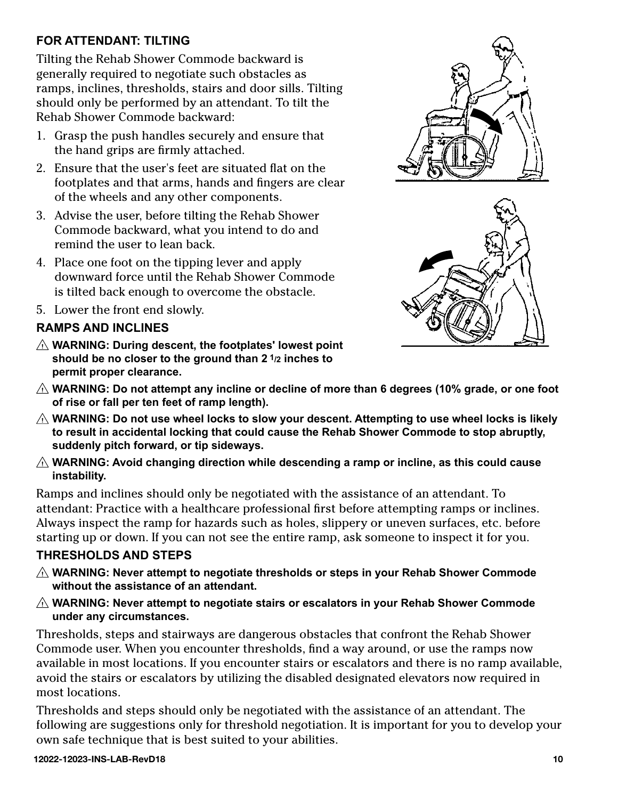## <span id="page-9-0"></span>**FOR ATTENDANT: TILTING**

Tilting the Rehab Shower Commode backward is generally required to negotiate such obstacles as ramps, inclines, thresholds, stairs and door sills. Tilting should only be performed by an attendant. To tilt the Rehab Shower Commode backward:

- 1. Grasp the push handles securely and ensure that the hand grips are firmly attached.
- 2. Ensure that the user's feet are situated flat on the footplates and that arms, hands and fingers are clear of the wheels and any other components.
- 3. Advise the user, before tilting the Rehab Shower Commode backward, what you intend to do and remind the user to lean back.
- 4. Place one foot on the tipping lever and apply downward force until the Rehab Shower Commode is tilted back enough to overcome the obstacle.
- 5. Lower the front end slowly.

## **RAMPS AND INCLINES**

- **WARNING: During descent, the footplates' lowest point should be no closer to the ground than 2 1/2 inches to permit proper clearance.**
- **WARNING: Do not attempt any incline or decline of more than 6 degrees (10% grade, or one foot of rise or fall per ten feet of ramp length).**
- $\triangle$  WARNING: Do not use wheel locks to slow your descent. Attempting to use wheel locks is likely **to result in accidental locking that could cause the Rehab Shower Commode to stop abruptly, suddenly pitch forward, or tip sideways.**
- **WARNING: Avoid changing direction while descending a ramp or incline, as this could cause instability.**

Ramps and inclines should only be negotiated with the assistance of an attendant. To attendant: Practice with a healthcare professional first before attempting ramps or inclines. Always inspect the ramp for hazards such as holes, slippery or uneven surfaces, etc. before starting up or down. If you can not see the entire ramp, ask someone to inspect it for you.

## **THRESHOLDS AND STEPS**

- **WARNING: Never attempt to negotiate thresholds or steps in your Rehab Shower Commode without the assistance of an attendant.**
- **WARNING: Never attempt to negotiate stairs or escalators in your Rehab Shower Commode under any circumstances.**

Thresholds, steps and stairways are dangerous obstacles that confront the Rehab Shower Commode user. When you encounter thresholds, find a way around, or use the ramps now available in most locations. If you encounter stairs or escalators and there is no ramp available, avoid the stairs or escalators by utilizing the disabled designated elevators now required in most locations.

Thresholds and steps should only be negotiated with the assistance of an attendant. The following are suggestions only for threshold negotiation. It is important for you to develop your own safe technique that is best suited to your abilities.



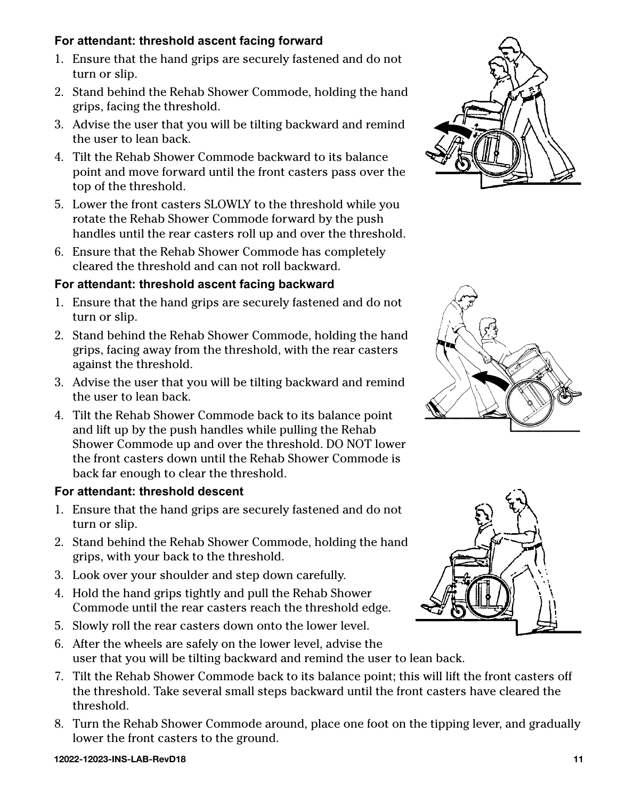## <span id="page-10-0"></span>**For attendant: threshold ascent facing forward**

- 1. Ensure that the hand grips are securely fastened and do not turn or slip.
- 2. Stand behind the Rehab Shower Commode, holding the hand grips, facing the threshold.
- 3. Advise the user that you will be tilting backward and remind the user to lean back.
- 4. Tilt the Rehab Shower Commode backward to its balance point and move forward until the front casters pass over the top of the threshold.
- 5. Lower the front casters SLOWLY to the threshold while you rotate the Rehab Shower Commode forward by the push handles until the rear casters roll up and over the threshold.
- 6. Ensure that the Rehab Shower Commode has completely cleared the threshold and can not roll backward.

## **For attendant: threshold ascent facing backward**

- 1. Ensure that the hand grips are securely fastened and do not turn or slip.
- 2. Stand behind the Rehab Shower Commode, holding the hand grips, facing away from the threshold, with the rear casters against the threshold.
- 3. Advise the user that you will be tilting backward and remind the user to lean back.
- 4. Tilt the Rehab Shower Commode back to its balance point and lift up by the push handles while pulling the Rehab Shower Commode up and over the threshold. DO NOT lower the front casters down until the Rehab Shower Commode is back far enough to clear the threshold.

## **For attendant: threshold descent**

- 1. Ensure that the hand grips are securely fastened and do not turn or slip.
- 2. Stand behind the Rehab Shower Commode, holding the hand grips, with your back to the threshold.
- 3. Look over your shoulder and step down carefully.
- 4. Hold the hand grips tightly and pull the Rehab Shower Commode until the rear casters reach the threshold edge.
- 5. Slowly roll the rear casters down onto the lower level.
- 6. After the wheels are safely on the lower level, advise the user that you will be tilting backward and remind the user to lean back.
- 7. Tilt the Rehab Shower Commode back to its balance point; this will lift the front casters off the threshold. Take several small steps backward until the front casters have cleared the threshold.
- 8. Turn the Rehab Shower Commode around, place one foot on the tipping lever, and gradually lower the front casters to the ground.





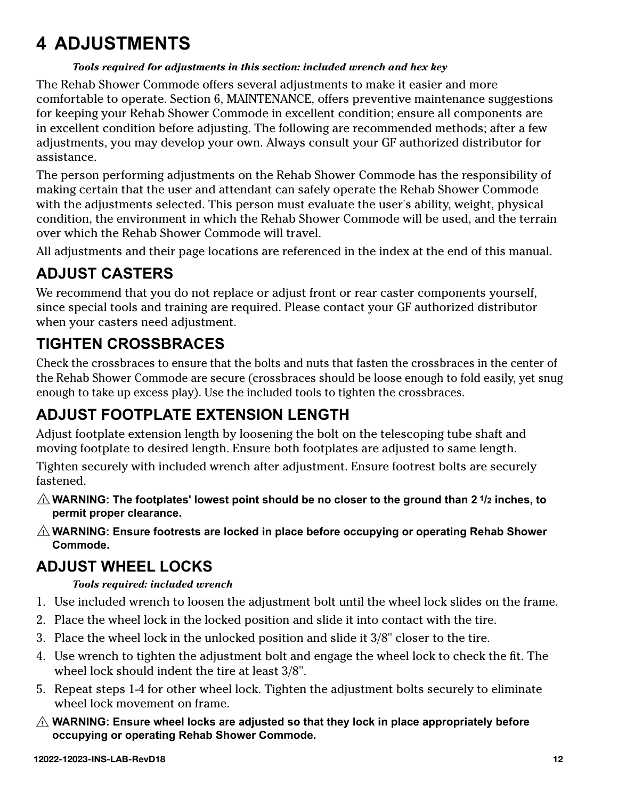## <span id="page-11-0"></span>**4 ADJUSTMENTS**

### *Tools required for adjustments in this section: included wrench and hex key*

The Rehab Shower Commode offers several adjustments to make it easier and more comfortable to operate. Section 6, MAINTENANCE, offers preventive maintenance suggestions for keeping your Rehab Shower Commode in excellent condition; ensure all components are in excellent condition before adjusting. The following are recommended methods; after a few adjustments, you may develop your own. Always consult your GF authorized distributor for assistance.

The person performing adjustments on the Rehab Shower Commode has the responsibility of making certain that the user and attendant can safely operate the Rehab Shower Commode with the adjustments selected. This person must evaluate the user's ability, weight, physical condition, the environment in which the Rehab Shower Commode will be used, and the terrain over which the Rehab Shower Commode will travel.

All adjustments and their page locations are referenced in the index at the end of this manual.

## **ADJUST CASTERS**

We recommend that you do not replace or adjust front or rear caster components yourself, since special tools and training are required. Please contact your GF authorized distributor when your casters need adjustment.

## **TIGHTEN CROSSBRACES**

Check the crossbraces to ensure that the bolts and nuts that fasten the crossbraces in the center of the Rehab Shower Commode are secure (crossbraces should be loose enough to fold easily, yet snug enough to take up excess play). Use the included tools to tighten the crossbraces.

## **ADJUST FOOTPLATE EXTENSION LENGTH**

Adjust footplate extension length by loosening the bolt on the telescoping tube shaft and moving footplate to desired length. Ensure both footplates are adjusted to same length.

Tighten securely with included wrench after adjustment. Ensure footrest bolts are securely fastened.

- **WARNING: The footplates' lowest point should be no closer to the ground than 2 1/2 inches, to permit proper clearance.**
- **WARNING: Ensure footrests are locked in place before occupying or operating Rehab Shower Commode.**

## **ADJUST WHEEL LOCKS**

## *Tools required: included wrench*

- 1. Use included wrench to loosen the adjustment bolt until the wheel lock slides on the frame.
- 2. Place the wheel lock in the locked position and slide it into contact with the tire.
- 3. Place the wheel lock in the unlocked position and slide it 3/8" closer to the tire.
- 4. Use wrench to tighten the adjustment bolt and engage the wheel lock to check the fit. The wheel lock should indent the tire at least 3/8".
- 5. Repeat steps 1-4 for other wheel lock. Tighten the adjustment bolts securely to eliminate wheel lock movement on frame.
- **WARNING: Ensure wheel locks are adjusted so that they lock in place appropriately before occupying or operating Rehab Shower Commode.**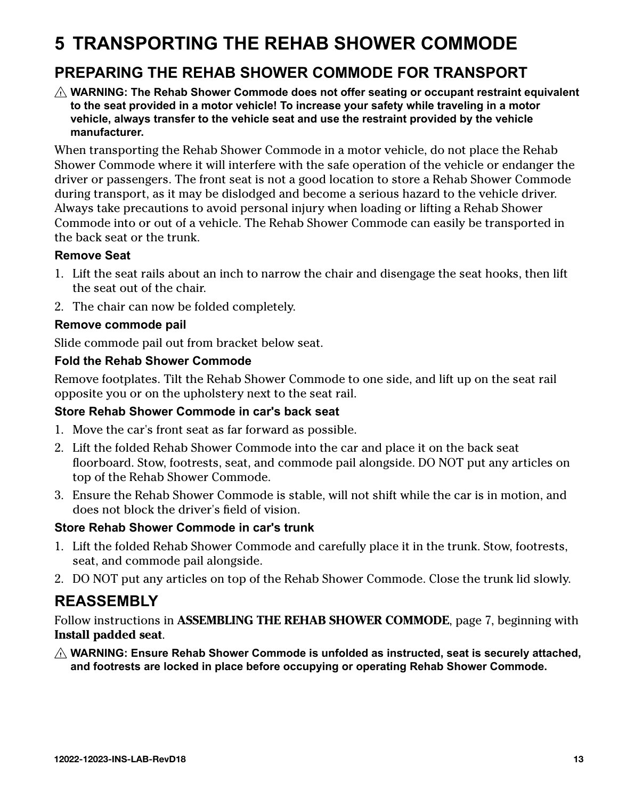## <span id="page-12-0"></span>**5 TRANSPORTING THE REHAB SHOWER COMMODE**

## **PREPARING THE REHAB SHOWER COMMODE FOR TRANSPORT**

**WARNING: The Rehab Shower Commode does not offer seating or occupant restraint equivalent to the seat provided in a motor vehicle! To increase your safety while traveling in a motor vehicle, always transfer to the vehicle seat and use the restraint provided by the vehicle manufacturer.**

When transporting the Rehab Shower Commode in a motor vehicle, do not place the Rehab Shower Commode where it will interfere with the safe operation of the vehicle or endanger the driver or passengers. The front seat is not a good location to store a Rehab Shower Commode during transport, as it may be dislodged and become a serious hazard to the vehicle driver. Always take precautions to avoid personal injury when loading or lifting a Rehab Shower Commode into or out of a vehicle. The Rehab Shower Commode can easily be transported in the back seat or the trunk.

## **Remove Seat**

- 1. Lift the seat rails about an inch to narrow the chair and disengage the seat hooks, then lift the seat out of the chair.
- 2. The chair can now be folded completely.

## **Remove commode pail**

Slide commode pail out from bracket below seat.

## **Fold the Rehab Shower Commode**

Remove footplates. Tilt the Rehab Shower Commode to one side, and lift up on the seat rail opposite you or on the upholstery next to the seat rail.

## **Store Rehab Shower Commode in car's back seat**

- 1. Move the car's front seat as far forward as possible.
- 2. Lift the folded Rehab Shower Commode into the car and place it on the back seat floorboard. Stow, footrests, seat, and commode pail alongside. DO NOT put any articles on top of the Rehab Shower Commode.
- 3. Ensure the Rehab Shower Commode is stable, will not shift while the car is in motion, and does not block the driver's field of vision.

## **Store Rehab Shower Commode in car's trunk**

- 1. Lift the folded Rehab Shower Commode and carefully place it in the trunk. Stow, footrests, seat, and commode pail alongside.
- 2. DO NOT put any articles on top of the Rehab Shower Commode. Close the trunk lid slowly.

## **REASSEMBLY**

Follow instructions in **ASSEMBLING THE REHAB SHOWER COMMODE**, page 7, beginning with **Install padded seat**.

**WARNING: Ensure Rehab Shower Commode is unfolded as instructed, seat is securely attached, and footrests are locked in place before occupying or operating Rehab Shower Commode.**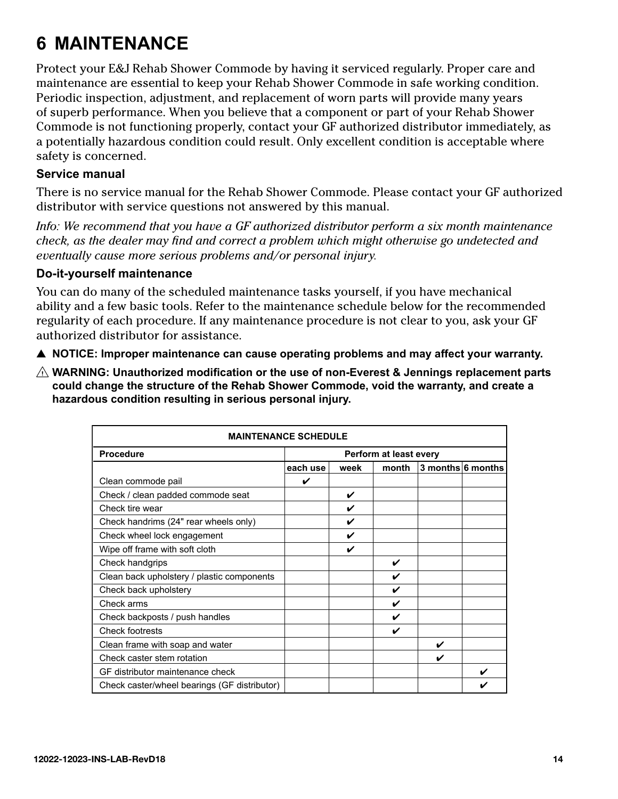## <span id="page-13-0"></span>**6 MAINTENANCE**

Protect your E&J Rehab Shower Commode by having it serviced regularly. Proper care and maintenance are essential to keep your Rehab Shower Commode in safe working condition. Periodic inspection, adjustment, and replacement of worn parts will provide many years of superb performance. When you believe that a component or part of your Rehab Shower Commode is not functioning properly, contact your GF authorized distributor immediately, as a potentially hazardous condition could result. Only excellent condition is acceptable where safety is concerned.

## **Service manual**

There is no service manual for the Rehab Shower Commode. Please contact your GF authorized distributor with service questions not answered by this manual.

*Info: We recommend that you have a GF authorized distributor perform a six month maintenance check, as the dealer may find and correct a problem which might otherwise go undetected and eventually cause more serious problems and/or personal injury.*

## **Do-it-yourself maintenance**

You can do many of the scheduled maintenance tasks yourself, if you have mechanical ability and a few basic tools. Refer to the maintenance schedule below for the recommended regularity of each procedure. If any maintenance procedure is not clear to you, ask your GF authorized distributor for assistance.

- **A** NOTICE: Improper maintenance can cause operating problems and may affect your warranty.
- **WARNING: Unauthorized modification or the use of non-Everest & Jennings replacement parts could change the structure of the Rehab Shower Commode, void the warranty, and create a hazardous condition resulting in serious personal injury.**

| <b>MAINTENANCE SCHEDULE</b>                  |                        |      |       |                     |  |  |  |  |  |  |
|----------------------------------------------|------------------------|------|-------|---------------------|--|--|--|--|--|--|
| <b>Procedure</b>                             | Perform at least every |      |       |                     |  |  |  |  |  |  |
|                                              | each use               | week | month | $3$ months 6 months |  |  |  |  |  |  |
| Clean commode pail                           | V                      |      |       |                     |  |  |  |  |  |  |
| Check / clean padded commode seat            |                        | V    |       |                     |  |  |  |  |  |  |
| Check tire wear                              |                        | V    |       |                     |  |  |  |  |  |  |
| Check handrims (24" rear wheels only)        |                        | V    |       |                     |  |  |  |  |  |  |
| Check wheel lock engagement                  |                        | V    |       |                     |  |  |  |  |  |  |
| Wipe off frame with soft cloth               |                        | V    |       |                     |  |  |  |  |  |  |
| Check handgrips                              |                        |      | ✓     |                     |  |  |  |  |  |  |
| Clean back upholstery / plastic components   |                        |      | ✔     |                     |  |  |  |  |  |  |
| Check back upholstery                        |                        |      | V     |                     |  |  |  |  |  |  |
| Check arms                                   |                        |      | ✔     |                     |  |  |  |  |  |  |
| Check backposts / push handles               |                        |      | ✓     |                     |  |  |  |  |  |  |
| <b>Check footrests</b>                       |                        |      | ✔     |                     |  |  |  |  |  |  |
| Clean frame with soap and water              |                        |      |       | ✔                   |  |  |  |  |  |  |
| Check caster stem rotation                   |                        |      |       |                     |  |  |  |  |  |  |
| GF distributor maintenance check             |                        |      |       |                     |  |  |  |  |  |  |
| Check caster/wheel bearings (GF distributor) |                        |      |       |                     |  |  |  |  |  |  |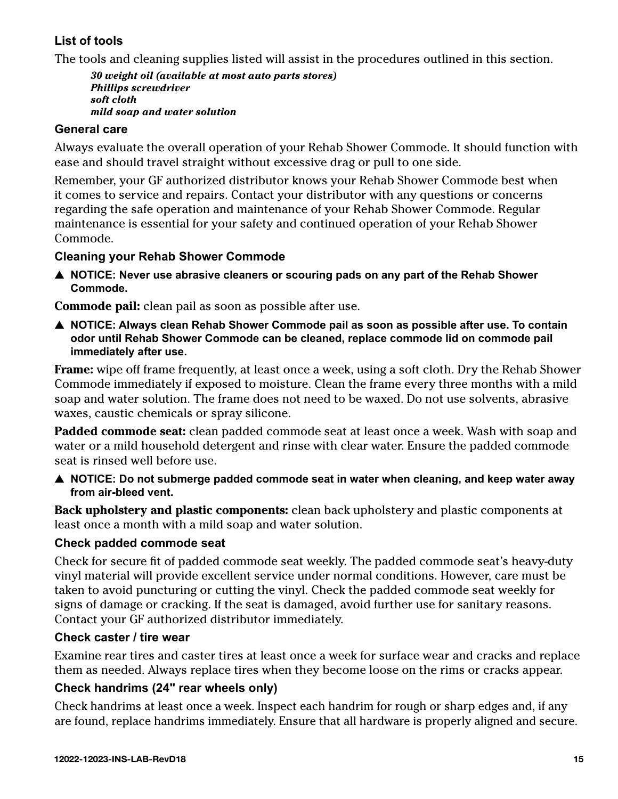## <span id="page-14-0"></span>**List of tools**

The tools and cleaning supplies listed will assist in the procedures outlined in this section.

*30 weight oil (available at most auto parts stores) Phillips screwdriver soft cloth mild soap and water solution*

## **General care**

Always evaluate the overall operation of your Rehab Shower Commode. It should function with ease and should travel straight without excessive drag or pull to one side.

Remember, your GF authorized distributor knows your Rehab Shower Commode best when it comes to service and repairs. Contact your distributor with any questions or concerns regarding the safe operation and maintenance of your Rehab Shower Commode. Regular maintenance is essential for your safety and continued operation of your Rehab Shower Commode.

## **Cleaning your Rehab Shower Commode**

▲ NOTICE: Never use abrasive cleaners or scouring pads on any part of the Rehab Shower **Commode.**

**Commode pail:** clean pail as soon as possible after use.

**△ NOTICE: Always clean Rehab Shower Commode pail as soon as possible after use. To contain odor until Rehab Shower Commode can be cleaned, replace commode lid on commode pail immediately after use.**

**Frame:** wipe off frame frequently, at least once a week, using a soft cloth. Dry the Rehab Shower Commode immediately if exposed to moisture. Clean the frame every three months with a mild soap and water solution. The frame does not need to be waxed. Do not use solvents, abrasive waxes, caustic chemicals or spray silicone.

**Padded commode seat:** clean padded commode seat at least once a week. Wash with soap and water or a mild household detergent and rinse with clear water. Ensure the padded commode seat is rinsed well before use.

**A** NOTICE: Do not submerge padded commode seat in water when cleaning, and keep water away **from air-bleed vent.**

**Back upholstery and plastic components:** clean back upholstery and plastic components at least once a month with a mild soap and water solution.

## **Check padded commode seat**

Check for secure fit of padded commode seat weekly. The padded commode seat's heavy-duty vinyl material will provide excellent service under normal conditions. However, care must be taken to avoid puncturing or cutting the vinyl. Check the padded commode seat weekly for signs of damage or cracking. If the seat is damaged, avoid further use for sanitary reasons. Contact your GF authorized distributor immediately.

### **Check caster / tire wear**

Examine rear tires and caster tires at least once a week for surface wear and cracks and replace them as needed. Always replace tires when they become loose on the rims or cracks appear.

## **Check handrims (24" rear wheels only)**

Check handrims at least once a week. Inspect each handrim for rough or sharp edges and, if any are found, replace handrims immediately. Ensure that all hardware is properly aligned and secure.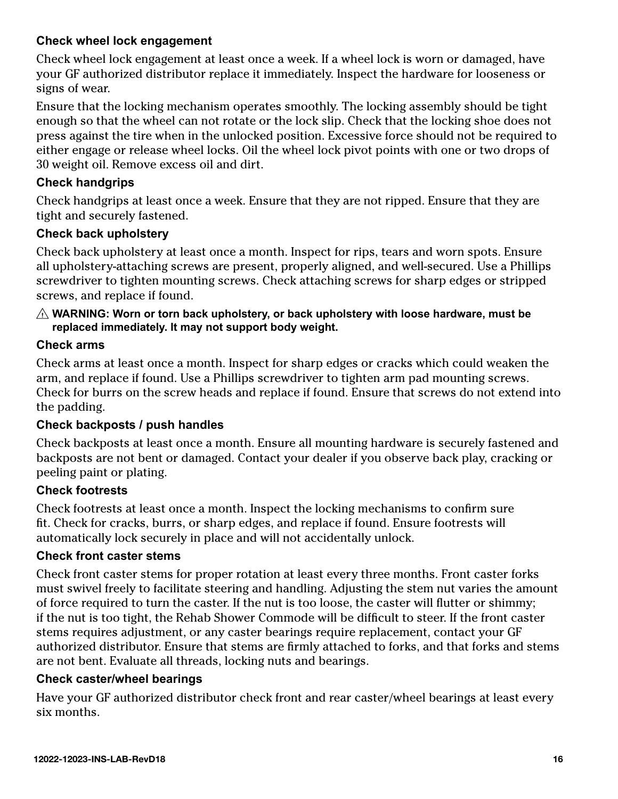## <span id="page-15-0"></span>**Check wheel lock engagement**

Check wheel lock engagement at least once a week. If a wheel lock is worn or damaged, have your GF authorized distributor replace it immediately. Inspect the hardware for looseness or signs of wear.

Ensure that the locking mechanism operates smoothly. The locking assembly should be tight enough so that the wheel can not rotate or the lock slip. Check that the locking shoe does not press against the tire when in the unlocked position. Excessive force should not be required to either engage or release wheel locks. Oil the wheel lock pivot points with one or two drops of 30 weight oil. Remove excess oil and dirt.

## **Check handgrips**

Check handgrips at least once a week. Ensure that they are not ripped. Ensure that they are tight and securely fastened.

## **Check back upholstery**

Check back upholstery at least once a month. Inspect for rips, tears and worn spots. Ensure all upholstery-attaching screws are present, properly aligned, and well-secured. Use a Phillips screwdriver to tighten mounting screws. Check attaching screws for sharp edges or stripped screws, and replace if found.

## **WARNING: Worn or torn back upholstery, or back upholstery with loose hardware, must be replaced immediately. It may not support body weight.**

## **Check arms**

Check arms at least once a month. Inspect for sharp edges or cracks which could weaken the arm, and replace if found. Use a Phillips screwdriver to tighten arm pad mounting screws. Check for burrs on the screw heads and replace if found. Ensure that screws do not extend into the padding.

## **Check backposts / push handles**

Check backposts at least once a month. Ensure all mounting hardware is securely fastened and backposts are not bent or damaged. Contact your dealer if you observe back play, cracking or peeling paint or plating.

## **Check footrests**

Check footrests at least once a month. Inspect the locking mechanisms to confirm sure fit. Check for cracks, burrs, or sharp edges, and replace if found. Ensure footrests will automatically lock securely in place and will not accidentally unlock.

### **Check front caster stems**

Check front caster stems for proper rotation at least every three months. Front caster forks must swivel freely to facilitate steering and handling. Adjusting the stem nut varies the amount of force required to turn the caster. If the nut is too loose, the caster will flutter or shimmy; if the nut is too tight, the Rehab Shower Commode will be difficult to steer. If the front caster stems requires adjustment, or any caster bearings require replacement, contact your GF authorized distributor. Ensure that stems are firmly attached to forks, and that forks and stems are not bent. Evaluate all threads, locking nuts and bearings.

### **Check caster/wheel bearings**

Have your GF authorized distributor check front and rear caster/wheel bearings at least every six months.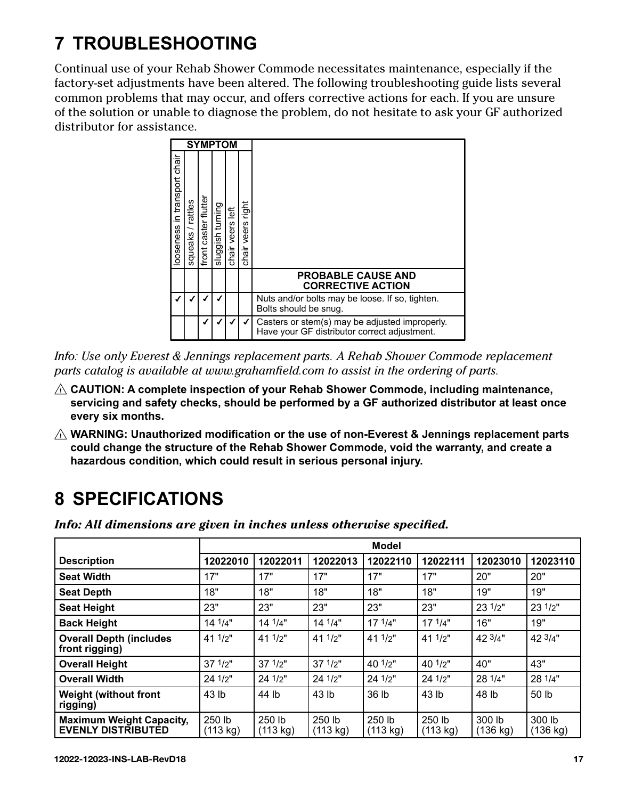# <span id="page-16-0"></span>**7 TROUBLESHOOTING**

Continual use of your Rehab Shower Commode necessitates maintenance, especially if the factory-set adjustments have been altered. The following troubleshooting guide lists several common problems that may occur, and offers corrective actions for each. If you are unsure of the solution or unable to diagnose the problem, do not hesitate to ask your GF authorized distributor for assistance.



*Info: Use only Everest & Jennings replacement parts. A Rehab Shower Commode replacement parts catalog is available at www.grahamfield.com to assist in the ordering of parts.*

- **CAUTION: A complete inspection of your Rehab Shower Commode, including maintenance, servicing and safety checks, should be performed by a GF authorized distributor at least once every six months.**
- **WARNING: Unauthorized modification or the use of non-Everest & Jennings replacement parts could change the structure of the Rehab Shower Commode, void the warranty, and create a hazardous condition, which could result in serious personal injury.**

## **8 SPECIFICATIONS**

*Info: All dimensions are given in inches unless otherwise specified.*

|                                                              | <b>Model</b>       |                    |                    |                    |                    |                    |                    |  |
|--------------------------------------------------------------|--------------------|--------------------|--------------------|--------------------|--------------------|--------------------|--------------------|--|
| <b>Description</b>                                           | 12022010           | 12022011           | 12022013           | 12022110           | 12022111           | 12023010           | 12023110           |  |
| <b>Seat Width</b>                                            | 17"                | 17"                | 17"                | 17"                | 17"                | 20"                | 20"                |  |
| <b>Seat Depth</b>                                            | 18"                | 18"                | 18"                | 18"                | 18"                | 19"                | 19"                |  |
| <b>Seat Height</b>                                           | 23"                | 23"                | 23"                | 23"                | 23"                | 23 $1/2"$          | $23 \frac{1}{2}$   |  |
| <b>Back Height</b>                                           | 14 1/4"            | 14 1/4"            | $14^{1/4"$         | $17^{1/4"$         | 171/4"             | 16"                | 19"                |  |
| <b>Overall Depth (includes)</b><br>front rigging)            | 41 $1/2"$          | 41 $1/2$ "         | 41 $1/2$ "         | 41 $1/2$ "         | 41 $1/2$ "         | 42 $3/4"$          | 423/4"             |  |
| <b>Overall Height</b>                                        | $37 \frac{1}{2}$ " | $37 \frac{1}{2}$ " | $37 \frac{1}{2}$   | 40 $1/2"$          | 40 $1/2$ "         | 40"                | 43"                |  |
| <b>Overall Width</b>                                         | 24 $1/2"$          | $24$ $1/2"$        | $24$ $1/2"$        | 24 $1/2"$          | 24 $1/2"$          | 28 1/4"            | 28 $1/4"$          |  |
| <b>Weight (without front</b><br>rigging)                     | 43 lb              | 44 lb              | 43 lb              | 36 lb              | 43 lb              | 48 lb              | 50 lb              |  |
| <b>Maximum Weight Capacity,</b><br><b>EVENLY DISTRIBUTED</b> | 250 lb<br>(113 kg) | 250 lb<br>(113 kg) | 250 lb<br>(113 kg) | 250 lb<br>(113 kg) | 250 lb<br>(113 kg) | 300 lb<br>(136 kg) | 300 lb<br>(136 kg) |  |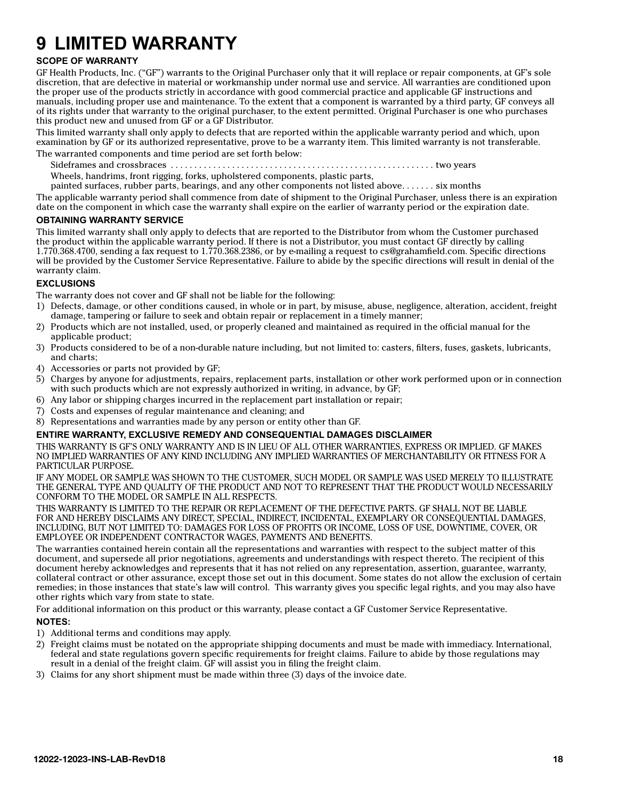# <span id="page-17-0"></span>**9 LIMITED WARRANTY**

#### **SCOPE OF WARRANTY**

GF Health Products, Inc. ("GF") warrants to the Original Purchaser only that it will replace or repair components, at GF's sole discretion, that are defective in material or workmanship under normal use and service. All warranties are conditioned upon the proper use of the products strictly in accordance with good commercial practice and applicable GF instructions and manuals, including proper use and maintenance. To the extent that a component is warranted by a third party, GF conveys all of its rights under that warranty to the original purchaser, to the extent permitted. Original Purchaser is one who purchases this product new and unused from GF or a GF Distributor.

This limited warranty shall only apply to defects that are reported within the applicable warranty period and which, upon examination by GF or its authorized representative, prove to be a warranty item. This limited warranty is not transferable.

The warranted components and time period are set forth below:

Sideframes and crossbraces . . two years

Wheels, handrims, front rigging, forks, upholstered components, plastic parts,

painted surfaces, rubber parts, bearings, and any other components not listed above  $\dots \dots$  six months

The applicable warranty period shall commence from date of shipment to the Original Purchaser, unless there is an expiration date on the component in which case the warranty shall expire on the earlier of warranty period or the expiration date.

#### **OBTAINING WARRANTY SERVICE**

This limited warranty shall only apply to defects that are reported to the Distributor from whom the Customer purchased the product within the applicable warranty period. If there is not a Distributor, you must contact GF directly by calling 1.770.368.4700, sending a fax request to 1.770.368.2386, or by e-mailing a request to cs@grahamfield.com. Specific directions will be provided by the Customer Service Representative. Failure to abide by the specific directions will result in denial of the warranty claim.

#### **EXCLUSIONS**

The warranty does not cover and GF shall not be liable for the following:

- 1) Defects, damage, or other conditions caused, in whole or in part, by misuse, abuse, negligence, alteration, accident, freight damage, tampering or failure to seek and obtain repair or replacement in a timely manner;
- 2) Products which are not installed, used, or properly cleaned and maintained as required in the official manual for the applicable product;
- 3) Products considered to be of a non-durable nature including, but not limited to: casters, filters, fuses, gaskets, lubricants, and charts;
- 4) Accessories or parts not provided by GF;
- 5) Charges by anyone for adjustments, repairs, replacement parts, installation or other work performed upon or in connection with such products which are not expressly authorized in writing, in advance, by GF;
- 6) Any labor or shipping charges incurred in the replacement part installation or repair;
- 7) Costs and expenses of regular maintenance and cleaning; and
- 8) Representations and warranties made by any person or entity other than GF.

#### **ENTIRE WARRANTY, EXCLUSIVE REMEDY AND CONSEQUENTIAL DAMAGES DISCLAIMER**

THIS WARRANTY IS GF'S ONLY WARRANTY AND IS IN LIEU OF ALL OTHER WARRANTIES, EXPRESS OR IMPLIED. GF MAKES NO IMPLIED WARRANTIES OF ANY KIND INCLUDING ANY IMPLIED WARRANTIES OF MERCHANTABILITY OR FITNESS FOR A PARTICULAR PURPOSE.

IF ANY MODEL OR SAMPLE WAS SHOWN TO THE CUSTOMER, SUCH MODEL OR SAMPLE WAS USED MERELY TO ILLUSTRATE THE GENERAL TYPE AND QUALITY OF THE PRODUCT AND NOT TO REPRESENT THAT THE PRODUCT WOULD NECESSARILY CONFORM TO THE MODEL OR SAMPLE IN ALL RESPECTS.

THIS WARRANTY IS LIMITED TO THE REPAIR OR REPLACEMENT OF THE DEFECTIVE PARTS. GF SHALL NOT BE LIABLE FOR AND HEREBY DISCLAIMS ANY DIRECT, SPECIAL, INDIRECT, INCIDENTAL, EXEMPLARY OR CONSEQUENTIAL DAMAGES, INCLUDING, BUT NOT LIMITED TO: DAMAGES FOR LOSS OF PROFITS OR INCOME, LOSS OF USE, DOWNTIME, COVER, OR EMPLOYEE OR INDEPENDENT CONTRACTOR WAGES, PAYMENTS AND BENEFITS.

The warranties contained herein contain all the representations and warranties with respect to the subject matter of this document, and supersede all prior negotiations, agreements and understandings with respect thereto. The recipient of this document hereby acknowledges and represents that it has not relied on any representation, assertion, guarantee, warranty, collateral contract or other assurance, except those set out in this document. Some states do not allow the exclusion of certain remedies; in those instances that state's law will control. This warranty gives you specific legal rights, and you may also have other rights which vary from state to state.

For additional information on this product or this warranty, please contact a GF Customer Service Representative. **NOTES:**

- 1) Additional terms and conditions may apply.
- 2) Freight claims must be notated on the appropriate shipping documents and must be made with immediacy. International, federal and state regulations govern specific requirements for freight claims. Failure to abide by those regulations may result in a denial of the freight claim. GF will assist you in filing the freight claim.
- Claims for any short shipment must be made within three  $(3)$  days of the invoice date.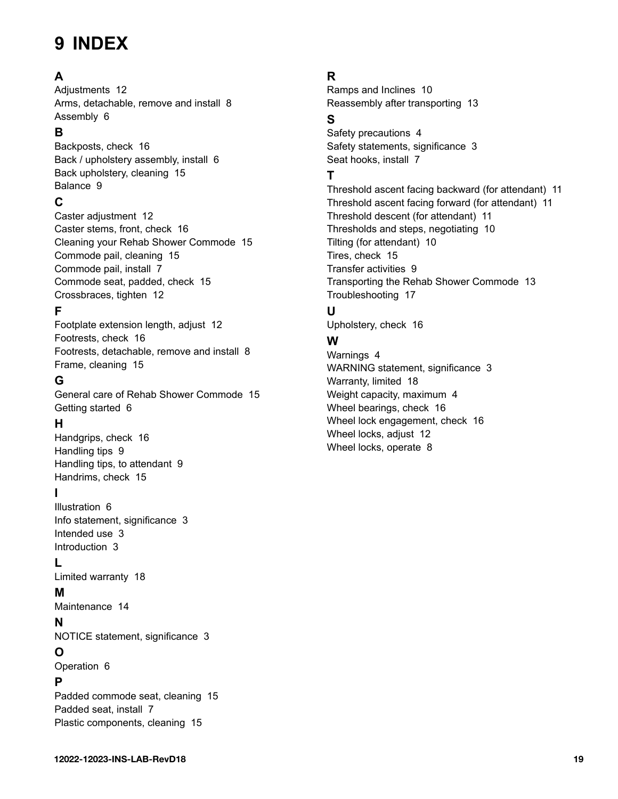## <span id="page-18-0"></span>**9 INDEX**

## **A**

Adiustments [12](#page-11-0) Arms, detachable, remove and install [8](#page-7-0) Assembly [6](#page-5-0)

## **B**

Backposts, check [16](#page-15-0) Back / upholstery assembly, install [6](#page-5-0) Back upholstery, cleaning [15](#page-14-0) Balance [9](#page-8-0)

## **C**

Caster adjustment [12](#page-11-0) Caster stems, front, check [16](#page-15-0) Cleaning your Rehab Shower Commode [15](#page-14-0) Commode pail, cleaning [15](#page-14-0) Commode pail, install [7](#page-6-0) Commode seat, padded, check [15](#page-14-0) Crossbraces, tighten [12](#page-11-0)

## **F**

Footplate extension length, adjust [12](#page-11-0) Footrests, check [16](#page-15-0) Footrests, detachable, remove and install [8](#page-7-0) Frame, cleaning [15](#page-14-0)

## **G**

General care of Rehab Shower Commode [15](#page-14-0) Getting started [6](#page-5-0)

## **H**

Handgrips, check [16](#page-15-0) Handling tips [9](#page-8-0) Handling tips, to attendant [9](#page-8-0) Handrims, check [15](#page-14-0)

## **I**

Illustration [6](#page-5-0) Info statement, significance [3](#page-2-0) Intended use [3](#page-2-0) Introduction [3](#page-2-0)

### **L**

Limited warranty [18](#page-17-0)

## **M**

Maintenance [14](#page-13-0)

### **N**

NOTICE statement, significance [3](#page-2-0)

### **O**

Operation [6](#page-5-0)

### **P**

Padded commode seat, cleaning [15](#page-14-0) Padded seat, install [7](#page-6-0) Plastic components, cleaning [15](#page-14-0)

## **R**

Ramps and Inclines [10](#page-9-0) Reassembly after transporting [13](#page-12-0)

## **S**

Safety precautions [4](#page-3-0) Safety statements, significance [3](#page-2-0) Seat hooks, install [7](#page-6-0)

## **T**

Threshold ascent facing backward (for attendant) [11](#page-10-0) Threshold ascent facing forward (for attendant) [11](#page-10-0) Threshold descent (for attendant) [11](#page-10-0) Thresholds and steps, negotiating [10](#page-9-0) Tilting (for attendant) [10](#page-9-0) Tires, check [15](#page-14-0) Transfer activities [9](#page-8-0) Transporting the Rehab Shower Commode [13](#page-12-0) Troubleshooting [17](#page-16-0)

## **U**

Upholstery, check [16](#page-15-0)

## **W**

Warnings [4](#page-3-0) WARNING statement, significance [3](#page-2-0) Warranty, limited [18](#page-17-0) Weight capacity, maximum [4](#page-3-0) Wheel bearings, check [16](#page-15-0) Wheel lock engagement, check [16](#page-15-0) Wheel locks, adjust [12](#page-11-0) Wheel locks, operate [8](#page-7-0)